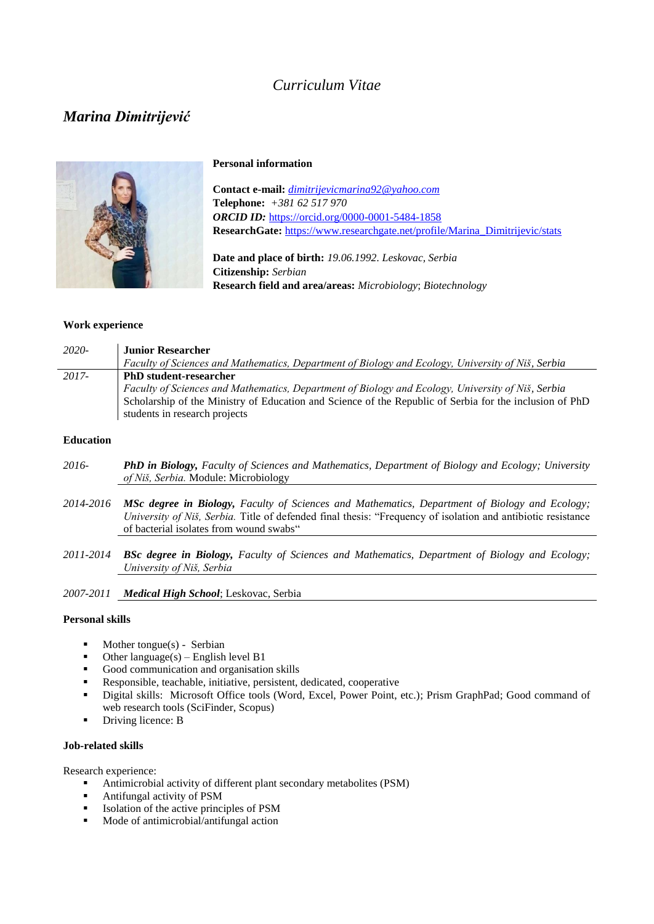## *Curriculum Vitae*

# *Marina Dimitrijević*



#### **Personal information**

**Contact e-mail:** *[dimitrijevicmarina92@yahoo.com](mailto:dimitrijevicmarina92@yahoo.com)* **Telephone:** *+381 62 517 970 ORCID ID:* <https://orcid.org/0000-0001-5484-1858> **ResearchGate:** [https://www.researchgate.net/profile/Marina\\_Dimitrijevic/stats](https://www.researchgate.net/profile/Marina_Dimitrijevic/stats)

**Date and place of birth:** *19.06.1992. Leskovac, Serbia* **Citizenship:** *Serbian* **Research field and area/areas:** *Microbiology*; *Biotechnology*

## **Work experience**

| $2020-$ | <b>Junior Researcher</b>                                                                                |
|---------|---------------------------------------------------------------------------------------------------------|
|         | Faculty of Sciences and Mathematics, Department of Biology and Ecology, University of Niš, Serbia       |
| 2017-   | <b>PhD</b> student-researcher                                                                           |
|         | Faculty of Sciences and Mathematics, Department of Biology and Ecology, University of Niš, Serbia       |
|         | Scholarship of the Ministry of Education and Science of the Republic of Serbia for the inclusion of PhD |
|         | students in research projects                                                                           |

## **Education**

- *2016- PhD in Biology, Faculty of Sciences and Mathematics, Department of Biology and Ecology; University of Niš, Serbia.* Module: Microbiology
- *2014-2016 MSc degree in Biology, Faculty of Sciences and Mathematics, Department of Biology and Ecology; University of Niš, Serbia.* Title of defended final thesis: "Frequency of isolation and antibiotic resistance of bacterial isolates from wound swabs"
- *2011-2014 BSc degree in Biology, Faculty of Sciences and Mathematics, Department of Biology and Ecology; University of Niš, Serbia*

*2007-2011 Medical High School*; Leskovac, Serbia

#### **Personal skills**

- Mother tongue(s) Serbian
- $\blacksquare$  Other language(s) English level B1
- Good communication and organisation skills
- Responsible, teachable, initiative, persistent, dedicated, cooperative
- Digital skills: Microsoft Office tools (Word, Excel, Power Point, etc.); Prism GraphPad; Good command of web research tools (SciFinder, Scopus)
- Driving licence: **B**

### **Job-related skills**

Research experience:

- Antimicrobial activity of different plant secondary metabolites (PSM)
- Antifungal activity of PSM
- Isolation of the active principles of PSM
- **Mode of antimicrobial/antifungal action**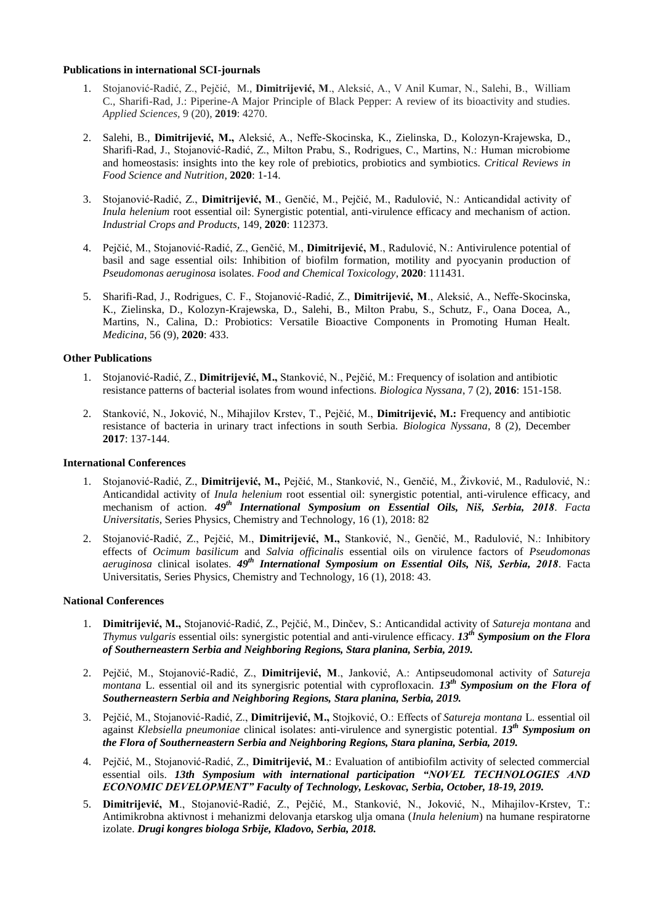#### **Publications in international SCI-journals**

- 1. Stojanović-Radić, Z., Pejčić, M., **Dimitrijević, M**., Aleksić, A., V Anil Kumar, N., Salehi, B., William C., Sharifi-Rad, J.: Piperine-A Major Principle of Black Pepper: A review of its bioactivity and studies. *Applied Sciences,* 9 (20), **2019**: 4270.
- 2. Salehi, B., **Dimitrijević, M.,** Aleksić, A., Neffe-Skocinska, K., Zielinska, D., Kolozyn-Krajewska, D., Sharifi-Rad, J., Stojanović-Radić, Z., Milton Prabu, S., Rodrigues, C., Martins, N.: Human microbiome and homeostasis: insights into the key role of prebiotics, probiotics and symbiotics. *Critical Reviews in Food Science and Nutrition*, **2020**: 1-14.
- 3. Stojanović-Radić, Z., **Dimitrijević, M**., Genčić, M., Pejčić, M., Radulović, N.: Anticandidal activity of *Inula helenium* root essential oil: Synergistic potential, anti-virulence efficacy and mechanism of action. *Industrial Crops and Products*, 149, **2020**: 112373.
- 4. Pejčić, M., Stojanović-Radić, Z., Genčić, M., **Dimitrijević, M**., Radulović, N.: Antivirulence potential of basil and sage essential oils: Inhibition of biofilm formation, motility and pyocyanin production of *Pseudomonas aeruginosa* isolates. *Food and Chemical Toxicology*, **2020**: 111431.
- 5. Sharifi-Rad, J., Rodrigues, C. F., Stojanović-Radić, Z., **Dimitrijević, M**., Aleksić, A., Neffe-Skocinska, K., Zielinska, D., Kolozyn-Krajewska, D., Salehi, B., Milton Prabu, S., Schutz, F., Oana Docea, A., Martins, N., Calina, D.: Probiotics: Versatile Bioactive Components in Promoting Human Healt. *Medicina*, 56 (9), **2020**: 433.

#### **Other Publications**

- 1. Stojanović-Radić, Z., **Dimitrijević, M.,** Stanković, N., Pejčić, M.: Frequency of isolation and antibiotic resistance patterns of bacterial isolates from wound infections. *Biologica Nyssana*, 7 (2), **2016**: 151-158.
- 2. Stanković, N., Joković, N., Mihajilov Krstev, T., Pejčić, M., **Dimitrijević, M.:** Frequency and antibiotic resistance of bacteria in urinary tract infections in south Serbia. *Biologica Nyssana*, 8 (2), December **2017**: 137-144.

#### **International Conferences**

- 1. Stojanović-Radić, Z., **Dimitrijević, M.,** Pejčić, M., Stanković, N., Genčić, M., Živković, M., Radulović, N.: Anticandidal activity of *Inula helenium* root essential oil: synergistic potential, anti-virulence efficacy, and mechanism of action. *49th International Symposium on Essential Oils, Niš, Serbia, 2018*. *Facta Universitatis*, Series Physics, Chemistry and Technology, 16 (1), 2018: 82
- 2. Stojanović-Radić, Z., Pejčić, M., **Dimitrijević, M.,** Stanković, N., Genčić, M., Radulović, N.: Inhibitory effects of *Ocimum basilicum* and *Salvia officinalis* essential oils on virulence factors of *Pseudomonas aeruginosa* clinical isolates. *49th International Symposium on Essential Oils, Niš, Serbia, 2018*. Facta Universitatis, Series Physics, Chemistry and Technology, 16 (1), 2018: 43.

#### **National Conferences**

- 1. **Dimitrijević, M.,** Stojanović-Radić, Z., Pejčić, M., Dinčev, S.: Anticandidal activity of *Satureja montana* and *Thymus vulgaris* essential oils: synergistic potential and anti-virulence efficacy. *13th Symposium on the Flora of Southerneastern Serbia and Neighboring Regions, Stara planina, Serbia, 2019.*
- 2. Pejčić, M., Stojanović-Radić, Z., **Dimitrijević, M**., Janković, A.: Antipseudomonal activity of *Satureja montana* L. essential oil and its synergisric potential with cyprofloxacin. *13th Symposium on the Flora of Southerneastern Serbia and Neighboring Regions, Stara planina, Serbia, 2019.*
- 3. Pejčić, M., Stojanović-Radić, Z., **Dimitrijević, M.,** Stojković, O.: Effects of *Satureja montana* L. essential oil against *Klebsiella pneumoniae* clinical isolates: anti-virulence and synergistic potential. *13th Symposium on the Flora of Southerneastern Serbia and Neighboring Regions, Stara planina, Serbia, 2019.*
- 4. Pejčić, M., Stojanović-Radić, Z., **Dimitrijević, M**.: Evaluation of antibiofilm activity of selected commercial essential oils. *13th Symposium with international participation "NOVEL TECHNOLOGIES AND ECONOMIC DEVELOPMENT" Faculty of Technology, Leskovac, Serbia, October, 18-19, 2019.*
- 5. **Dimitrijević, M**., Stojanović-Radić, Z., Pejčić, M., Stanković, N., Joković, N., Mihajilov-Krstev, T.: Antimikrobna aktivnost i mehanizmi delovanja etarskog ulja omana (*Inula helenium*) na humane respiratorne izolate. *Drugi kongres biologa Srbije, Kladovo, Serbia, 2018.*